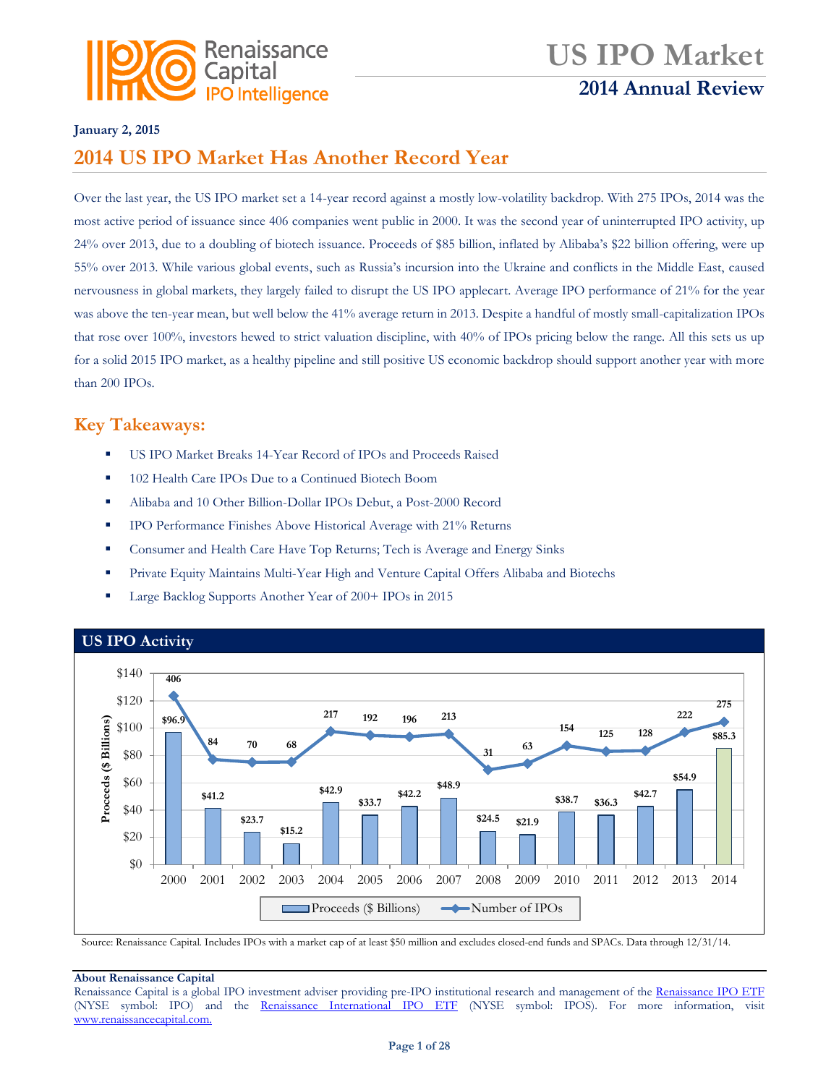

## **US IPO Market 2014 Annual Review**

#### **January 2, 2015**

## **2014 US IPO Market Has Another Record Year**

Over the last year, the US IPO market set a 14-year record against a mostly low-volatility backdrop. With 275 IPOs, 2014 was the most active period of issuance since 406 companies went public in 2000. It was the second year of uninterrupted IPO activity, up 24% over 2013, due to a doubling of biotech issuance. Proceeds of \$85 billion, inflated by Alibaba's \$22 billion offering, were up 55% over 2013. While various global events, such as Russia's incursion into the Ukraine and conflicts in the Middle East, caused nervousness in global markets, they largely failed to disrupt the US IPO applecart. Average IPO performance of 21% for the year was above the ten-year mean, but well below the 41% average return in 2013. Despite a handful of mostly small-capitalization IPOs that rose over 100%, investors hewed to strict valuation discipline, with 40% of IPOs pricing below the range. All this sets us up for a solid 2015 IPO market, as a healthy pipeline and still positive US economic backdrop should support another year with more than 200 IPOs.

### **Key Takeaways:**

- US IPO Market Breaks 14-Year Record of IPOs and Proceeds Raised
- 102 Health Care IPOs Due to a Continued Biotech Boom
- Alibaba and 10 Other Billion-Dollar IPOs Debut, a Post-2000 Record
- **IPO Performance Finishes Above Historical Average with 21% Returns**
- **Consumer and Health Care Have Top Returns; Tech is Average and Energy Sinks**
- **Private Equity Maintains Multi-Year High and Venture Capital Offers Alibaba and Biotechs**
- Large Backlog Supports Another Year of 200+ IPOs in 2015



Source: Renaissance Capital. Includes IPOs with a market cap of at least \$50 million and excludes closed-end funds and SPACs. Data through 12/31/14.

#### **About Renaissance Capital**

Renaissance Capital is a global IPO investment adviser providing pre-IPO institutional research and management of the [Renaissance IPO ETF](http://www.renaissancecapital.com/IPOInvesting/IPOETF/IPOETF.aspx) (NYSE symbol: IPO) and the [Renaissance International IPO ETF](http://www.renaissancecapital.com/ipoinvesting/iposetf/iposetf.aspx) (NYSE symbol: IPOS). For more information, visit [www.renaissancecapital.com.](http://www.renaissancecapital.com/)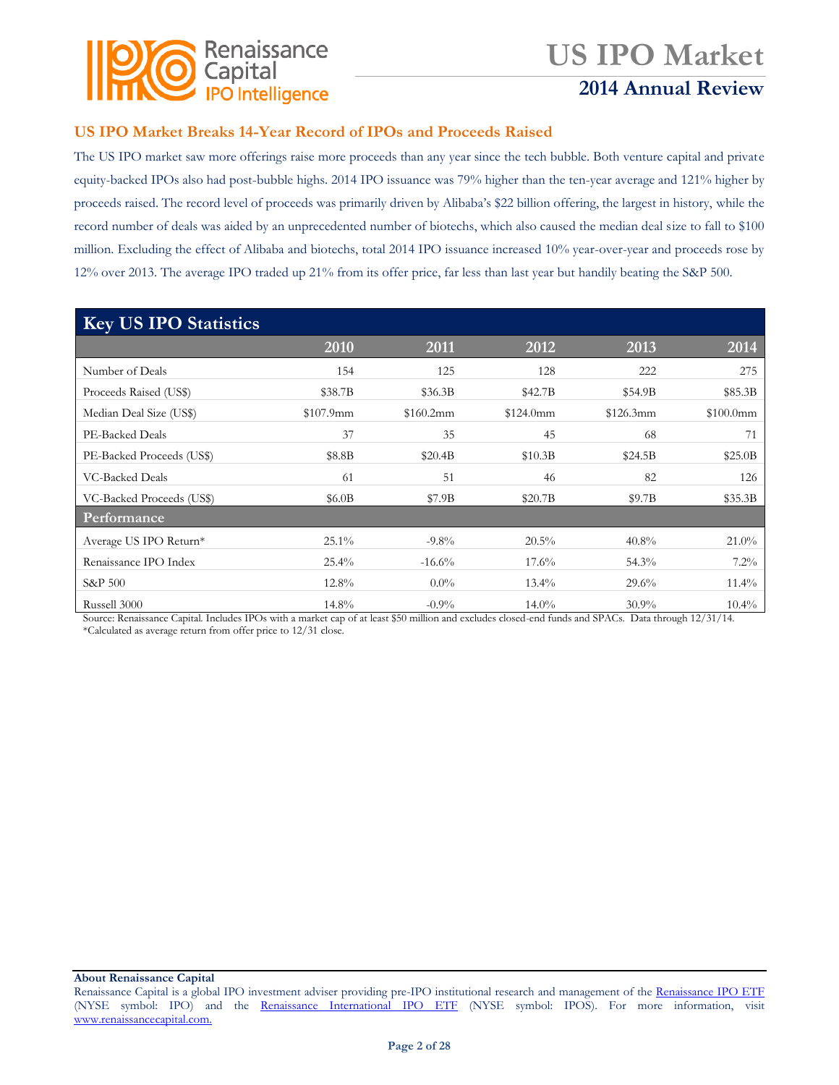

## **2014 Annual Review**

### **US IPO Market Breaks 14-Year Record of IPOs and Proceeds Raised**

The US IPO market saw more offerings raise more proceeds than any year since the tech bubble. Both venture capital and private equity-backed IPOs also had post-bubble highs. 2014 IPO issuance was 79% higher than the ten-year average and 121% higher by proceeds raised. The record level of proceeds was primarily driven by Alibaba's \$22 billion offering, the largest in history, while the record number of deals was aided by an unprecedented number of biotechs, which also caused the median deal size to fall to \$100 million. Excluding the effect of Alibaba and biotechs, total 2014 IPO issuance increased 10% year-over-year and proceeds rose by 12% over 2013. The average IPO traded up 21% from its offer price, far less than last year but handily beating the S&P 500.

| <b>Key US IPO Statistics</b> |           |           |           |           |           |  |  |  |
|------------------------------|-----------|-----------|-----------|-----------|-----------|--|--|--|
|                              | 2010      | 2011      | 2012      | 2013      | 2014      |  |  |  |
| Number of Deals              | 154       | 125       | 128       | 222       | 275       |  |  |  |
| Proceeds Raised (US\$)       | \$38.7B   | \$36.3B   | \$42.7B   | \$54.9B   | \$85.3B   |  |  |  |
| Median Deal Size (US\$)      | \$107.9mm | \$160.2mm | \$124.0mm | \$126.3mm | \$100.0mm |  |  |  |
| PE-Backed Deals              | 37        | 35        | 45        | 68        | 71        |  |  |  |
| PE-Backed Proceeds (US\$)    | \$8.8B    | \$20.4B   | \$10.3B   | \$24.5B   | \$25.0B   |  |  |  |
| <b>VC-Backed Deals</b>       | 61        | 51        | 46        | 82        | 126       |  |  |  |
| VC-Backed Proceeds (US\$)    | \$6.0B    | \$7.9B    | \$20.7B   | \$9.7B    | \$35.3B   |  |  |  |
| Performance                  |           |           |           |           |           |  |  |  |
| Average US IPO Return*       | $25.1\%$  | $-9.8\%$  | 20.5%     | 40.8%     | 21.0%     |  |  |  |
| Renaissance IPO Index        | $25.4\%$  | $-16.6%$  | $17.6\%$  | 54.3%     | 7.2%      |  |  |  |
| S&P 500                      | 12.8%     | $0.0\%$   | $13.4\%$  | 29.6%     | $11.4\%$  |  |  |  |
| Russell 3000                 | $14.8\%$  | $-0.9\%$  | $14.0\%$  | $30.9\%$  | $10.4\%$  |  |  |  |

Source: Renaissance Capital. Includes IPOs with a market cap of at least \$50 million and excludes closed-end funds and SPACs. Data through 12/31/14. \*Calculated as average return from offer price to 12/31 close.

Renaissance Capital is a global IPO investment adviser providing pre-IPO institutional research and management of the [Renaissance IPO ETF](http://www.renaissancecapital.com/IPOInvesting/IPOETF/IPOETF.aspx) (NYSE symbol: IPO) and the [Renaissance International IPO ETF](http://www.renaissancecapital.com/ipoinvesting/iposetf/iposetf.aspx) (NYSE symbol: IPOS). For more information, visit [www.renaissancecapital.com.](http://www.renaissancecapital.com/)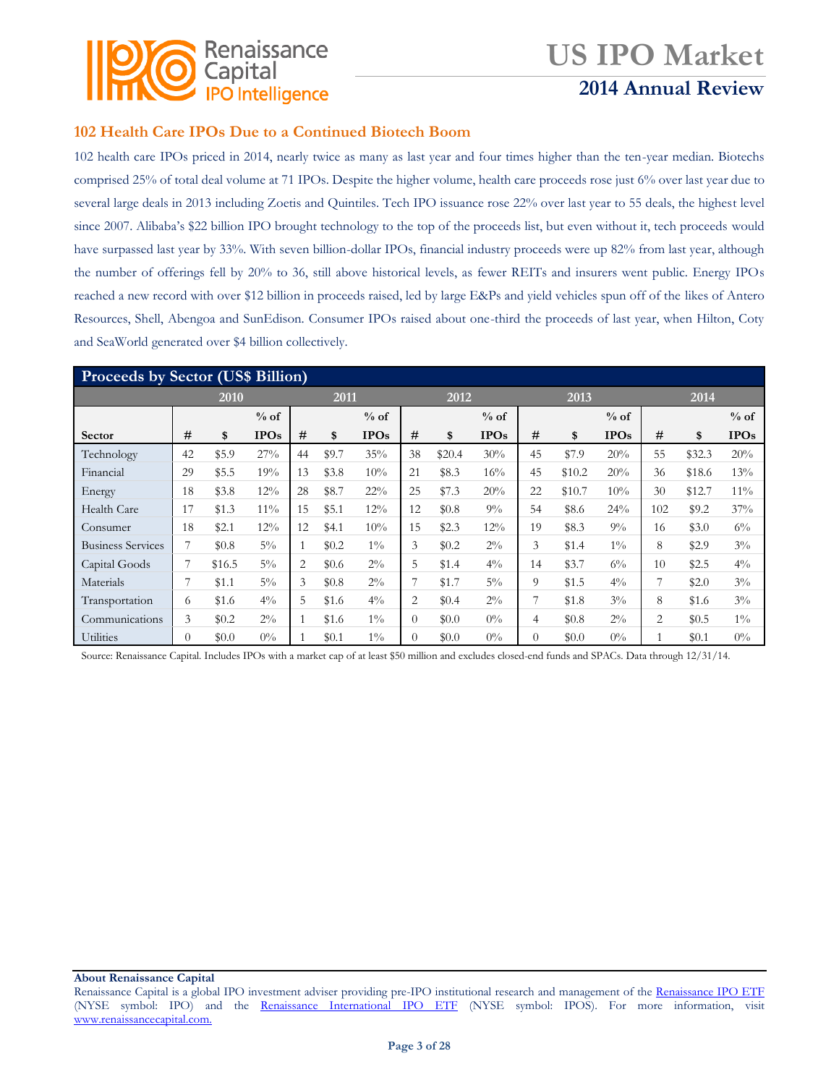

## **2014 Annual Review**

### **102 Health Care IPOs Due to a Continued Biotech Boom**

102 health care IPOs priced in 2014, nearly twice as many as last year and four times higher than the ten-year median. Biotechs comprised 25% of total deal volume at 71 IPOs. Despite the higher volume, health care proceeds rose just 6% over last year due to several large deals in 2013 including Zoetis and Quintiles. Tech IPO issuance rose 22% over last year to 55 deals, the highest level since 2007. Alibaba's \$22 billion IPO brought technology to the top of the proceeds list, but even without it, tech proceeds would have surpassed last year by 33%. With seven billion-dollar IPOs, financial industry proceeds were up 82% from last year, although the number of offerings fell by 20% to 36, still above historical levels, as fewer REITs and insurers went public. Energy IPOs reached a new record with over \$12 billion in proceeds raised, led by large E&Ps and yield vehicles spun off of the likes of Antero Resources, Shell, Abengoa and SunEdison. Consumer IPOs raised about one-third the proceeds of last year, when Hilton, Coty and SeaWorld generated over \$4 billion collectively.

| <b>Proceeds by Sector (US\$ Billion)</b> |          |        |             |    |       |             |          |         |             |    |        |             |     |        |             |
|------------------------------------------|----------|--------|-------------|----|-------|-------------|----------|---------|-------------|----|--------|-------------|-----|--------|-------------|
|                                          |          | 2010   |             |    | 2011  |             |          | 2012    |             |    | 2013   |             |     | 2014   |             |
|                                          |          |        | $%$ of      |    |       | $%$ of      |          |         | $%$ of      |    |        | $%$ of      |     |        | $%$ of      |
| <b>Sector</b>                            | #        | \$     | <b>IPOs</b> | #  | \$    | <b>IPOs</b> | #        | \$      | <b>IPOs</b> | #  | \$     | <b>IPOs</b> | #   | \$     | <b>IPOs</b> |
| Technology                               | 42       | \$5.9  | 27%         | 44 | \$9.7 | 35%         | 38       | \$20.4  | 30%         | 45 | \$7.9  | 20%         | 55  | \$32.3 | 20%         |
| Financial                                | 29       | \$5.5  | 19%         | 13 | \$3.8 | 10%         | 21       | \$8.3   | 16%         | 45 | \$10.2 | 20%         | 36  | \$18.6 | 13%         |
| Energy                                   | 18       | \$3.8  | 12%         | 28 | \$8.7 | 22%         | 25       | \$7.3   | 20%         | 22 | \$10.7 | 10%         | 30  | \$12.7 | $11\%$      |
| Health Care                              | 17       | \$1.3  | $11\%$      | 15 | \$5.1 | 12%         | 12       | \$0.8   | $9\%$       | 54 | \$8.6  | $24\%$      | 102 | \$9.2  | 37%         |
| Consumer                                 | 18       | \$2.1  | 12%         | 12 | \$4.1 | 10%         | 15       | \$2.3   | 12%         | 19 | \$8.3  | $9\%$       | 16  | \$3.0  | $6\%$       |
| <b>Business Services</b>                 | 7        | \$0.8  | $5\%$       |    | \$0.2 | $1\%$       | 3        | \$0.2\$ | $2\%$       | 3  | \$1.4  | $1\%$       | 8   | \$2.9  | $3\%$       |
| Capital Goods                            | 7        | \$16.5 | $5\%$       | 2  | \$0.6 | $2\%$       | 5        | \$1.4   | $4\%$       | 14 | \$3.7  | $6\%$       | 10  | \$2.5  | $4\%$       |
| Materials                                | 7        | \$1.1  | $5\%$       | 3  | \$0.8 | $2\%$       |          | \$1.7   | $5\%$       | 9  | \$1.5  | $4\%$       | 7   | \$2.0  | $3\%$       |
| Transportation                           | 6        | \$1.6  | $4\%$       | 5  | \$1.6 | $4\%$       | 2        | \$0.4   | $2\%$       | 7  | \$1.8  | $3\%$       | 8   | \$1.6  | $3\%$       |
| Communications                           | 3        | \$0.2  | $2\%$       |    | \$1.6 | $1\%$       | $\Omega$ | \$0.0   | $0\%$       | 4  | \$0.8  | $2\%$       | 2   | \$0.5  | $1\%$       |
| <b>Utilities</b>                         | $\Omega$ | \$0.0  | $0\%$       |    | \$0.1 | $1\%$       | $\Omega$ | \$0.0   | $0\%$       | 0  | \$0.0  | $0\%$       |     | \$0.1  | $0\%$       |

Source: Renaissance Capital. Includes IPOs with a market cap of at least \$50 million and excludes closed-end funds and SPACs. Data through 12/31/14.

Renaissance Capital is a global IPO investment adviser providing pre-IPO institutional research and management of the [Renaissance IPO ETF](http://www.renaissancecapital.com/IPOInvesting/IPOETF/IPOETF.aspx) (NYSE symbol: IPO) and the [Renaissance International IPO ETF](http://www.renaissancecapital.com/ipoinvesting/iposetf/iposetf.aspx) (NYSE symbol: IPOS). For more information, visit [www.renaissancecapital.com.](http://www.renaissancecapital.com/)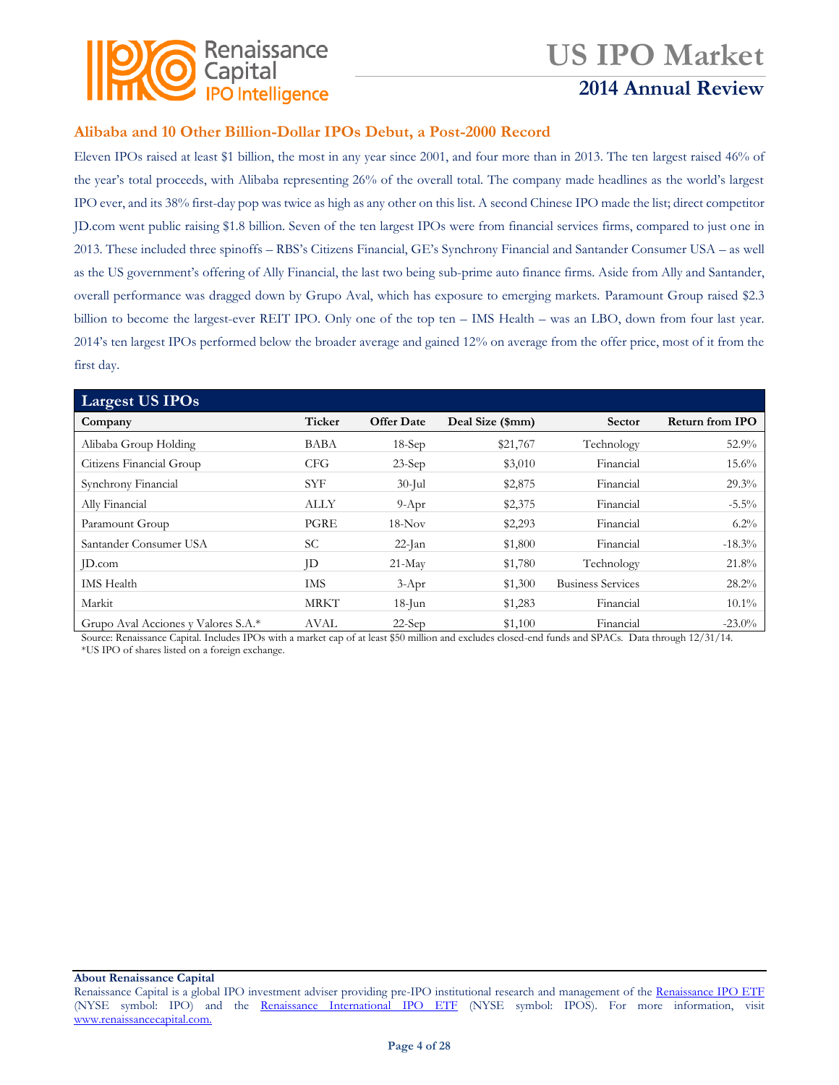

## **2014 Annual Review**

### **Alibaba and 10 Other Billion-Dollar IPOs Debut, a Post-2000 Record**

Eleven IPOs raised at least \$1 billion, the most in any year since 2001, and four more than in 2013. The ten largest raised 46% of the year's total proceeds, with Alibaba representing 26% of the overall total. The company made headlines as the world's largest IPO ever, and its 38% first-day pop was twice as high as any other on this list. A second Chinese IPO made the list; direct competitor JD.com went public raising \$1.8 billion. Seven of the ten largest IPOs were from financial services firms, compared to just one in 2013. These included three spinoffs – RBS's Citizens Financial, GE's Synchrony Financial and Santander Consumer USA – as well as the US government's offering of Ally Financial, the last two being sub-prime auto finance firms. Aside from Ally and Santander, overall performance was dragged down by Grupo Aval, which has exposure to emerging markets. Paramount Group raised \$2.3 billion to become the largest-ever REIT IPO. Only one of the top ten – IMS Health – was an LBO, down from four last year. 2014's ten largest IPOs performed below the broader average and gained 12% on average from the offer price, most of it from the first day.

| Largest US IPOs                     |             |                   |                  |                          |                        |
|-------------------------------------|-------------|-------------------|------------------|--------------------------|------------------------|
| Company                             | Ticker      | <b>Offer Date</b> | Deal Size (\$mm) | Sector                   | <b>Return from IPO</b> |
| Alibaba Group Holding               | <b>BABA</b> | $18-Sep$          | \$21,767         | Technology               | 52.9%                  |
| Citizens Financial Group            | <b>CFG</b>  | $23-Sep$          | \$3,010          | Financial                | $15.6\%$               |
| Synchrony Financial                 | <b>SYF</b>  | $30$ -Jul         | \$2,875          | Financial                | 29.3%                  |
| Ally Financial                      | <b>ALLY</b> | $9-Apr$           | \$2,375          | Financial                | $-5.5\%$               |
| Paramount Group                     | PGRE        | $18-Nov$          | \$2,293          | Financial                | $6.2\%$                |
| Santander Consumer USA              | <b>SC</b>   | $22$ -Jan         | \$1,800          | Financial                | $-18.3\%$              |
| ID.com                              | ID          | $21-May$          | \$1,780          | Technology               | 21.8%                  |
| <b>IMS</b> Health                   | <b>IMS</b>  | $3-Apr$           | \$1,300          | <b>Business Services</b> | $28.2\%$               |
| Markit                              | <b>MRKT</b> | $18$ -Jun         | \$1,283          | Financial                | $10.1\%$               |
| Grupo Aval Acciones y Valores S.A.* | <b>AVAL</b> | $22-Sep$          | \$1,100          | Financial                | $-23.0\%$              |

Source: Renaissance Capital. Includes IPOs with a market cap of at least \$50 million and excludes closed-end funds and SPACs. Data through 12/31/14. \*US IPO of shares listed on a foreign exchange.

Renaissance Capital is a global IPO investment adviser providing pre-IPO institutional research and management of the [Renaissance IPO ETF](http://www.renaissancecapital.com/IPOInvesting/IPOETF/IPOETF.aspx) (NYSE symbol: IPO) and the [Renaissance International IPO ETF](http://www.renaissancecapital.com/ipoinvesting/iposetf/iposetf.aspx) (NYSE symbol: IPOS). For more information, visit [www.renaissancecapital.com.](http://www.renaissancecapital.com/)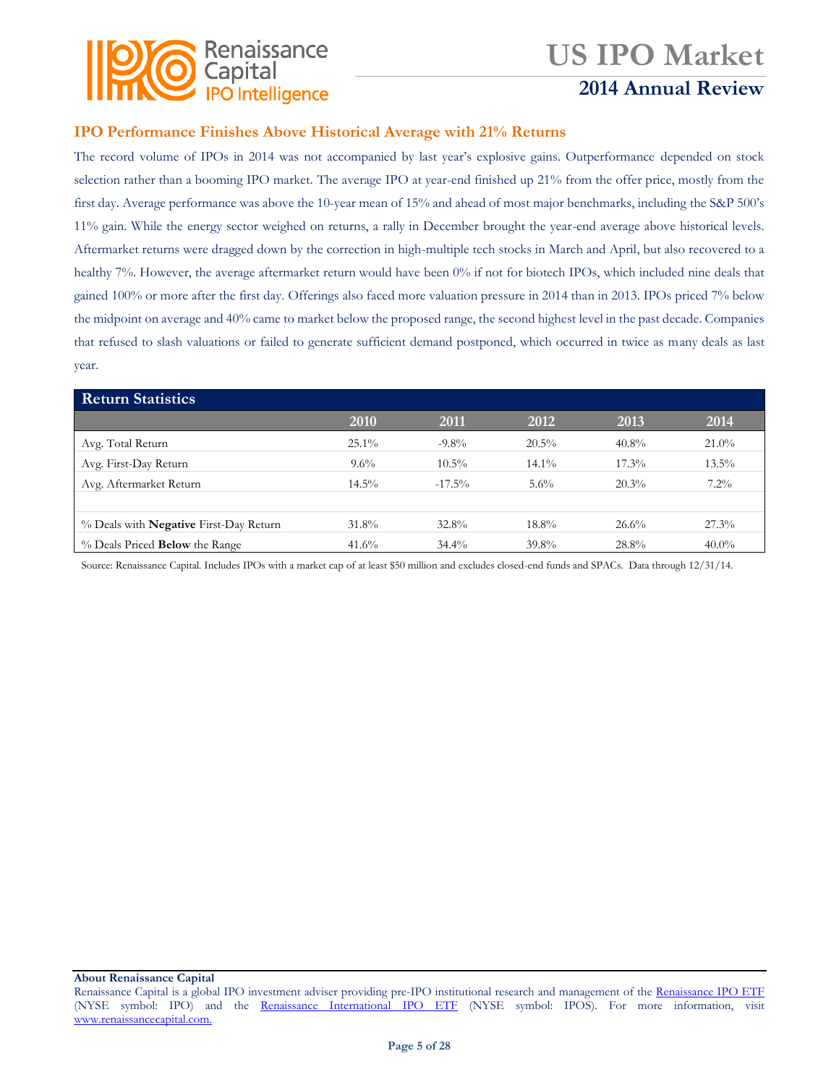

### **2014 Annual Review**

### **IPO Performance Finishes Above Historical Average with 21% Returns**

The record volume of IPOs in 2014 was not accompanied by last year's explosive gains. Outperformance depended on stock selection rather than a booming IPO market. The average IPO at year-end finished up 21% from the offer price, mostly from the first day. Average performance was above the 10-year mean of 15% and ahead of most major benchmarks, including the S&P 500's 11% gain. While the energy sector weighed on returns, a rally in December brought the year-end average above historical levels. Aftermarket returns were dragged down by the correction in high-multiple tech stocks in March and April, but also recovered to a healthy 7%. However, the average aftermarket return would have been 0% if not for biotech IPOs, which included nine deals that gained 100% or more after the first day. Offerings also faced more valuation pressure in 2014 than in 2013. IPOs priced 7% below the midpoint on average and 40% came to market below the proposed range, the second highest level in the past decade. Companies that refused to slash valuations or failed to generate sufficient demand postponed, which occurred in twice as many deals as last year.

| <b>Return Statistics</b>                      |          |           |          |          |          |
|-----------------------------------------------|----------|-----------|----------|----------|----------|
|                                               | 2010     | 2011      | 2012     | 2013     | 2014     |
| Avg. Total Return                             | $25.1\%$ | $-9.8\%$  | $20.5\%$ | $40.8\%$ | $21.0\%$ |
| Avg. First-Day Return                         | $9.6\%$  | $10.5\%$  | $14.1\%$ | $17.3\%$ | $13.5\%$ |
| Avg. Aftermarket Return                       | $14.5\%$ | $-17.5\%$ | $5.6\%$  | 20.3%    | $7.2\%$  |
|                                               |          |           |          |          |          |
| % Deals with <b>Negative</b> First-Day Return | 31.8%    | $32.8\%$  | $18.8\%$ | 26.6%    | $27.3\%$ |
| $\%$ Deals Priced <b>Below</b> the Range      | $41.6\%$ | $34.4\%$  | $39.8\%$ | 28.8%    | $40.0\%$ |

Source: Renaissance Capital. Includes IPOs with a market cap of at least \$50 million and excludes closed-end funds and SPACs. Data through 12/31/14.

Renaissance Capital is a global IPO investment adviser providing pre-IPO institutional research and management of the [Renaissance IPO ETF](http://www.renaissancecapital.com/IPOInvesting/IPOETF/IPOETF.aspx) (NYSE symbol: IPO) and the [Renaissance International IPO ETF](http://www.renaissancecapital.com/ipoinvesting/iposetf/iposetf.aspx) (NYSE symbol: IPOS). For more information, visit [www.renaissancecapital.com.](http://www.renaissancecapital.com/)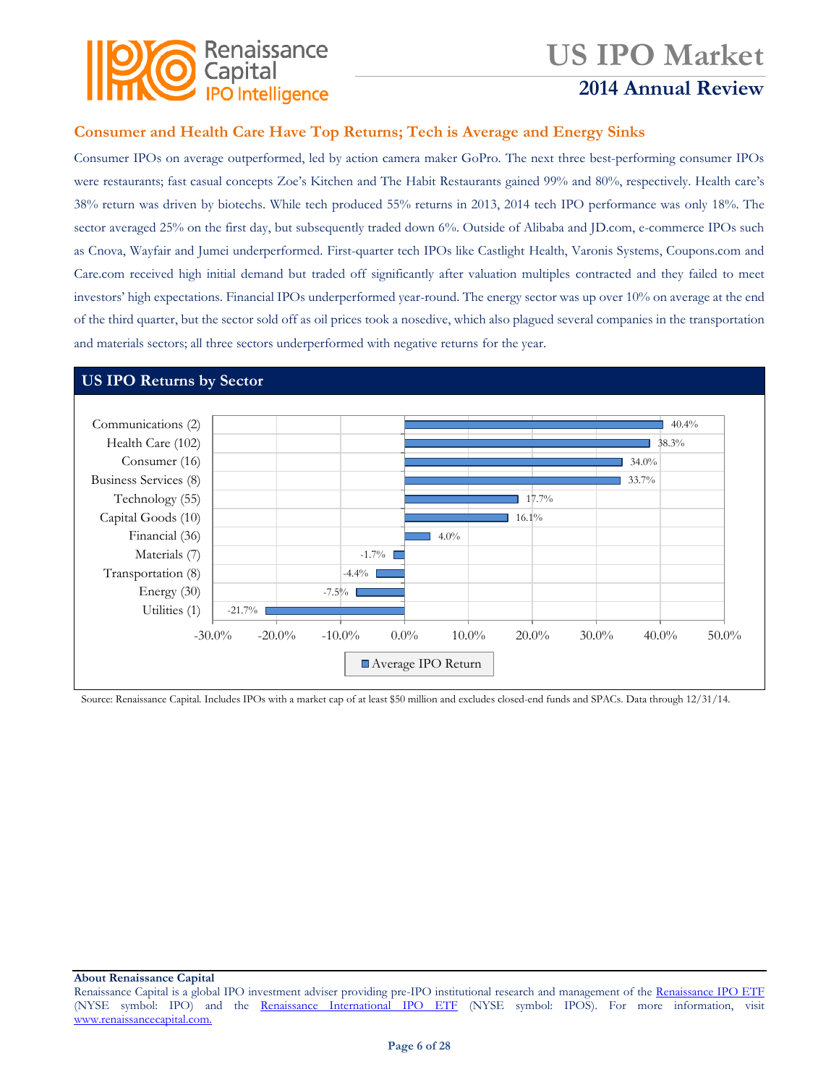

### **2014 Annual Review**

### **Consumer and Health Care Have Top Returns; Tech is Average and Energy Sinks**

Consumer IPOs on average outperformed, led by action camera maker GoPro. The next three best-performing consumer IPOs were restaurants; fast casual concepts Zoe's Kitchen and The Habit Restaurants gained 99% and 80%, respectively. Health care's 38% return was driven by biotechs. While tech produced 55% returns in 2013, 2014 tech IPO performance was only 18%. The sector averaged 25% on the first day, but subsequently traded down 6%. Outside of Alibaba and JD.com, e-commerce IPOs such as Cnova, Wayfair and Jumei underperformed. First-quarter tech IPOs like Castlight Health, Varonis Systems, Coupons.com and Care.com received high initial demand but traded off significantly after valuation multiples contracted and they failed to meet investors' high expectations. Financial IPOs underperformed year-round. The energy sector was up over 10% on average at the end of the third quarter, but the sector sold off as oil prices took a nosedive, which also plagued several companies in the transportation and materials sectors; all three sectors underperformed with negative returns for the year.

### **US IPO Returns by Sector**



Source: Renaissance Capital. Includes IPOs with a market cap of at least \$50 million and excludes closed-end funds and SPACs. Data through 12/31/14.

Renaissance Capital is a global IPO investment adviser providing pre-IPO institutional research and management of the [Renaissance IPO ETF](http://www.renaissancecapital.com/IPOInvesting/IPOETF/IPOETF.aspx) (NYSE symbol: IPO) and the [Renaissance International IPO ETF](http://www.renaissancecapital.com/ipoinvesting/iposetf/iposetf.aspx) (NYSE symbol: IPOS). For more information, visit [www.renaissancecapital.com.](http://www.renaissancecapital.com/)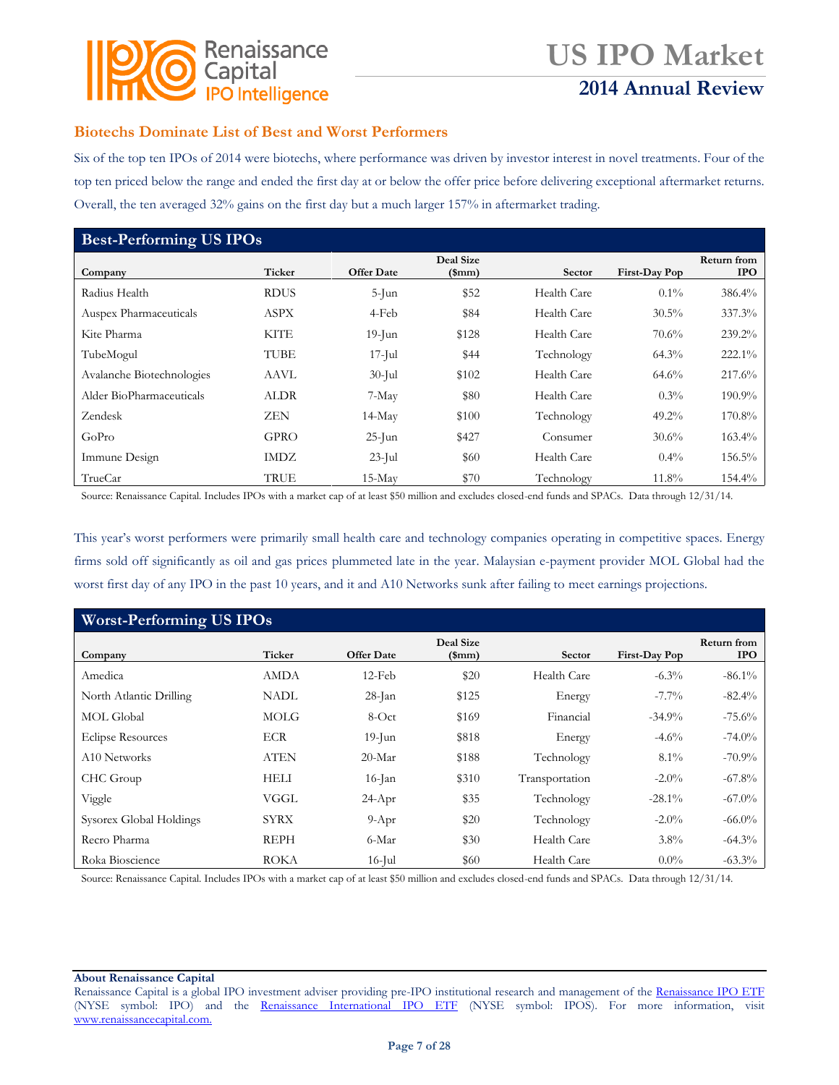

## **2014 Annual Review**

### **Biotechs Dominate List of Best and Worst Performers**

Six of the top ten IPOs of 2014 were biotechs, where performance was driven by investor interest in novel treatments. Four of the top ten priced below the range and ended the first day at or below the offer price before delivering exceptional aftermarket returns. Overall, the ten averaged 32% gains on the first day but a much larger 157% in aftermarket trading.

| <b>Best-Performing US IPOs</b> |             |                   |                               |             |               |                                  |  |  |
|--------------------------------|-------------|-------------------|-------------------------------|-------------|---------------|----------------------------------|--|--|
| Company                        | Ticker      | <b>Offer Date</b> | Deal Size<br>$(\mathrm{5mm})$ | Sector      | First-Day Pop | <b>Return from</b><br><b>IPO</b> |  |  |
| Radius Health                  | <b>RDUS</b> | $5$ -Jun          | \$52                          | Health Care | $0.1\%$       | 386.4%                           |  |  |
| Auspex Pharmaceuticals         | ASPX        | 4-Feb             | \$84                          | Health Care | $30.5\%$      | 337.3%                           |  |  |
| Kite Pharma                    | KITE        | $19$ -Jun         | \$128                         | Health Care | 70.6%         | 239.2%                           |  |  |
| TubeMogul                      | TUBE        | $17$ -Jul         | \$44                          | Technology  | $64.3\%$      | 222.1%                           |  |  |
| Avalanche Biotechnologies      | AAVL        | $30$ -Jul         | \$102                         | Health Care | 64.6%         | 217.6%                           |  |  |
| Alder BioPharmaceuticals       | ALDR        | 7-May             | \$80                          | Health Care | $0.3\%$       | 190.9%                           |  |  |
| Zendesk                        | ZEN         | $14$ -May         | \$100                         | Technology  | $49.2\%$      | 170.8%                           |  |  |
| GoPro                          | <b>GPRO</b> | $25$ -Jun         | \$427                         | Consumer    | $30.6\%$      | $163.4\%$                        |  |  |
| Immune Design                  | IMDZ        | $23$ -Jul         | \$60                          | Health Care | $0.4\%$       | 156.5%                           |  |  |
| TrueCar                        | TRUE        | $15-Mav$          | \$70                          | Technology  | 11.8%         | 154.4%                           |  |  |

Source: Renaissance Capital. Includes IPOs with a market cap of at least \$50 million and excludes closed-end funds and SPACs. Data through 12/31/14.

This year's worst performers were primarily small health care and technology companies operating in competitive spaces. Energy firms sold off significantly as oil and gas prices plummeted late in the year. Malaysian e-payment provider MOL Global had the worst first day of any IPO in the past 10 years, and it and A10 Networks sunk after failing to meet earnings projections.

| <b>Worst-Performing US IPOs</b> |             |                   |                       |                |               |                                  |  |  |
|---------------------------------|-------------|-------------------|-----------------------|----------------|---------------|----------------------------------|--|--|
| Company                         | Ticker      | <b>Offer Date</b> | Deal Size<br>$(\$mm)$ | Sector         | First-Day Pop | <b>Return from</b><br><b>IPO</b> |  |  |
| Amedica                         | <b>AMDA</b> | $12$ -Feb         | \$20                  | Health Care    | $-6.3\%$      | $-86.1\%$                        |  |  |
| North Atlantic Drilling         | NADL        | $28$ -Jan         | \$125                 | Energy         | $-7.7\%$      | $-82.4%$                         |  |  |
| <b>MOL Global</b>               | <b>MOLG</b> | 8-Oct             | \$169                 | Financial      | $-34.9%$      | $-75.6%$                         |  |  |
| <b>Eclipse Resources</b>        | <b>ECR</b>  | $19$ -Jun         | \$818                 | Energy         | $-4.6%$       | $-74.0\%$                        |  |  |
| A10 Networks                    | <b>ATEN</b> | $20-Mar$          | \$188                 | Technology     | $8.1\%$       | $-70.9\%$                        |  |  |
| CHC Group                       | HELI        | $16$ -Jan         | \$310                 | Transportation | $-2.0\%$      | $-67.8%$                         |  |  |
| Viggle                          | VGGL        | $24-Apr$          | \$35                  | Technology     | $-28.1\%$     | $-67.0\%$                        |  |  |
| Sysorex Global Holdings         | <b>SYRX</b> | $9-Apr$           | \$20                  | Technology     | $-2.0\%$      | $-66.0\%$                        |  |  |
| Recro Pharma                    | <b>REPH</b> | 6-Mar             | \$30                  | Health Care    | $3.8\%$       | $-64.3\%$                        |  |  |
| Roka Bioscience                 | <b>ROKA</b> | $16$ -Jul         | \$60                  | Health Care    | $0.0\%$       | $-63.3\%$                        |  |  |

Source: Renaissance Capital. Includes IPOs with a market cap of at least \$50 million and excludes closed-end funds and SPACs. Data through 12/31/14.

Renaissance Capital is a global IPO investment adviser providing pre-IPO institutional research and management of the [Renaissance IPO ETF](http://www.renaissancecapital.com/IPOInvesting/IPOETF/IPOETF.aspx) (NYSE symbol: IPO) and the [Renaissance International IPO ETF](http://www.renaissancecapital.com/ipoinvesting/iposetf/iposetf.aspx) (NYSE symbol: IPOS). For more information, visit [www.renaissancecapital.com.](http://www.renaissancecapital.com/)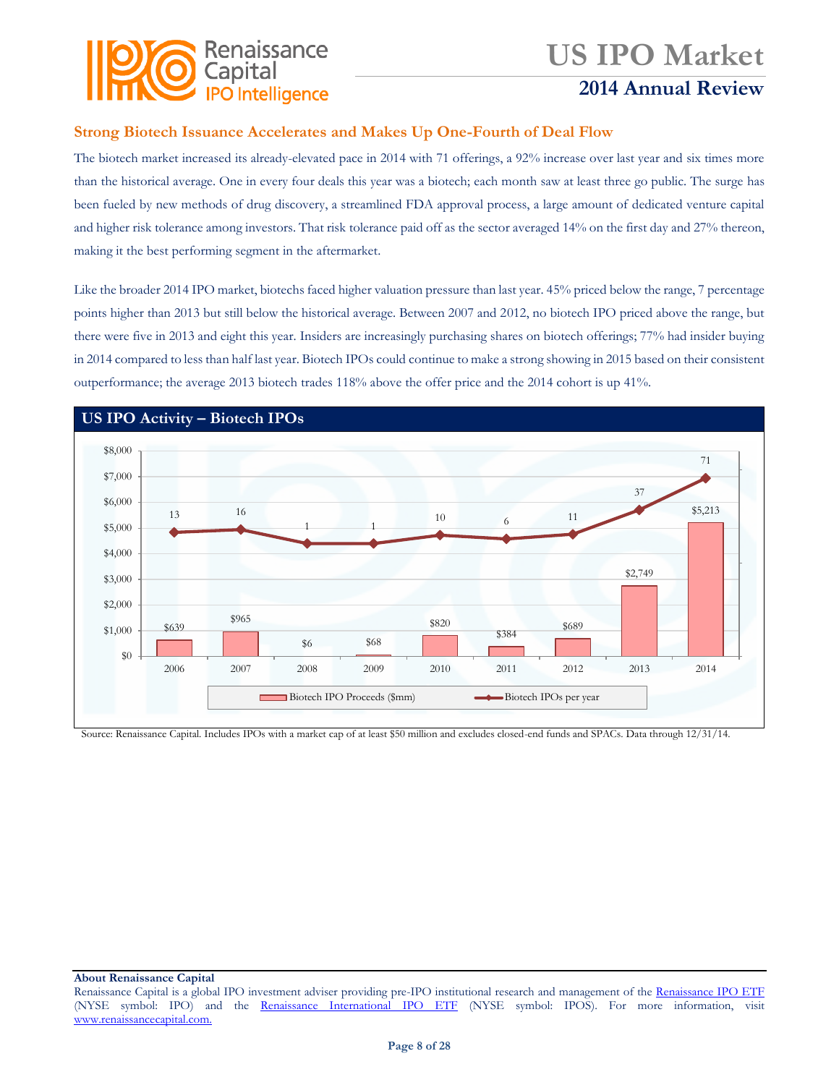

## **2014 Annual Review**

### **Strong Biotech Issuance Accelerates and Makes Up One-Fourth of Deal Flow**

The biotech market increased its already-elevated pace in 2014 with 71 offerings, a 92% increase over last year and six times more than the historical average. One in every four deals this year was a biotech; each month saw at least three go public. The surge has been fueled by new methods of drug discovery, a streamlined FDA approval process, a large amount of dedicated venture capital and higher risk tolerance among investors. That risk tolerance paid off as the sector averaged 14% on the first day and 27% thereon, making it the best performing segment in the aftermarket.

Like the broader 2014 IPO market, biotechs faced higher valuation pressure than last year. 45% priced below the range, 7 percentage points higher than 2013 but still below the historical average. Between 2007 and 2012, no biotech IPO priced above the range, but there were five in 2013 and eight this year. Insiders are increasingly purchasing shares on biotech offerings; 77% had insider buying in 2014 compared to less than half last year. Biotech IPOs could continue to make a strong showing in 2015 based on their consistent outperformance; the average 2013 biotech trades 118% above the offer price and the 2014 cohort is up 41%.



Source: Renaissance Capital. Includes IPOs with a market cap of at least \$50 million and excludes closed-end funds and SPACs. Data through 12/31/14.

Renaissance Capital is a global IPO investment adviser providing pre-IPO institutional research and management of the [Renaissance IPO ETF](http://www.renaissancecapital.com/IPOInvesting/IPOETF/IPOETF.aspx) (NYSE symbol: IPO) and the [Renaissance International IPO ETF](http://www.renaissancecapital.com/ipoinvesting/iposetf/iposetf.aspx) (NYSE symbol: IPOS). For more information, visit [www.renaissancecapital.com.](http://www.renaissancecapital.com/)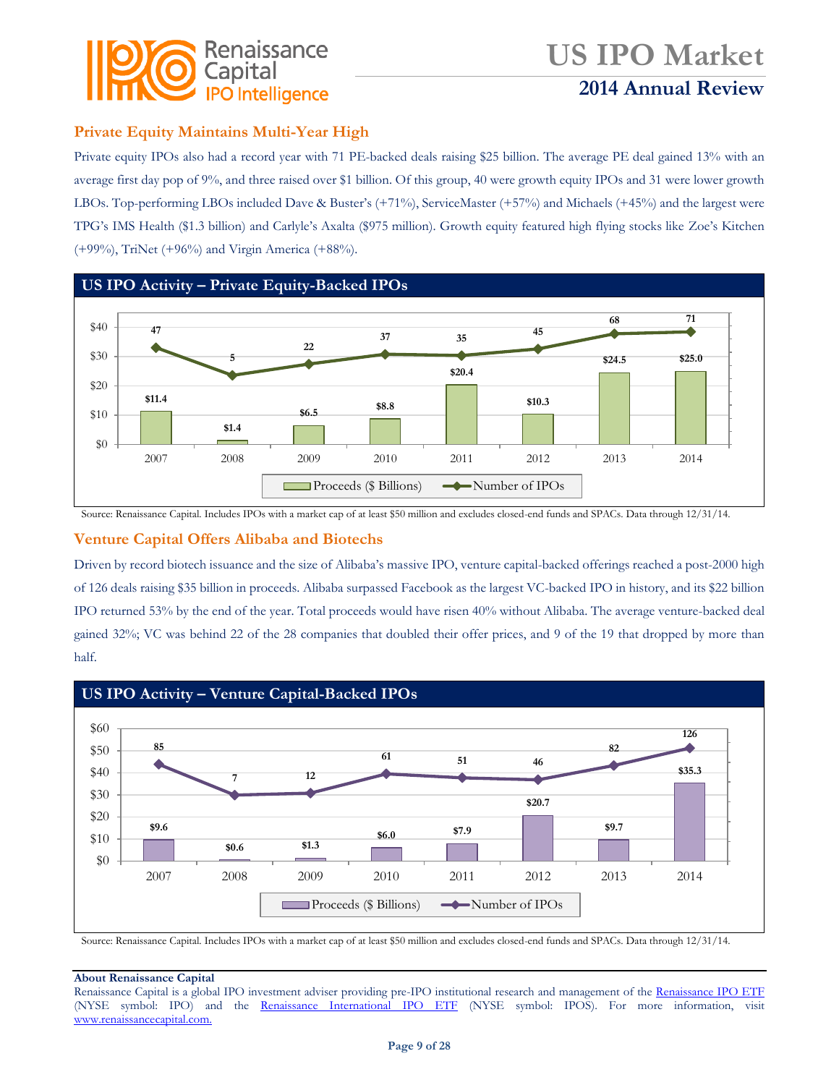

## **2014 Annual Review**

### **Private Equity Maintains Multi-Year High**

Private equity IPOs also had a record year with 71 PE-backed deals raising \$25 billion. The average PE deal gained 13% with an average first day pop of 9%, and three raised over \$1 billion. Of this group, 40 were growth equity IPOs and 31 were lower growth LBOs. Top-performing LBOs included Dave & Buster's (+71%), ServiceMaster (+57%) and Michaels (+45%) and the largest were TPG's IMS Health (\$1.3 billion) and Carlyle's Axalta (\$975 million). Growth equity featured high flying stocks like Zoe's Kitchen (+99%), TriNet (+96%) and Virgin America (+88%).



Source: Renaissance Capital. Includes IPOs with a market cap of at least \$50 million and excludes closed-end funds and SPACs. Data through 12/31/14.

### **Venture Capital Offers Alibaba and Biotechs**

Driven by record biotech issuance and the size of Alibaba's massive IPO, venture capital-backed offerings reached a post-2000 high of 126 deals raising \$35 billion in proceeds. Alibaba surpassed Facebook as the largest VC-backed IPO in history, and its \$22 billion IPO returned 53% by the end of the year. Total proceeds would have risen 40% without Alibaba. The average venture-backed deal gained 32%; VC was behind 22 of the 28 companies that doubled their offer prices, and 9 of the 19 that dropped by more than half.



Source: Renaissance Capital. Includes IPOs with a market cap of at least \$50 million and excludes closed-end funds and SPACs. Data through 12/31/14.

#### **About Renaissance Capital**

Renaissance Capital is a global IPO investment adviser providing pre-IPO institutional research and management of the [Renaissance IPO ETF](http://www.renaissancecapital.com/IPOInvesting/IPOETF/IPOETF.aspx) (NYSE symbol: IPO) and the [Renaissance International IPO ETF](http://www.renaissancecapital.com/ipoinvesting/iposetf/iposetf.aspx) (NYSE symbol: IPOS). For more information, visit [www.renaissancecapital.com.](http://www.renaissancecapital.com/)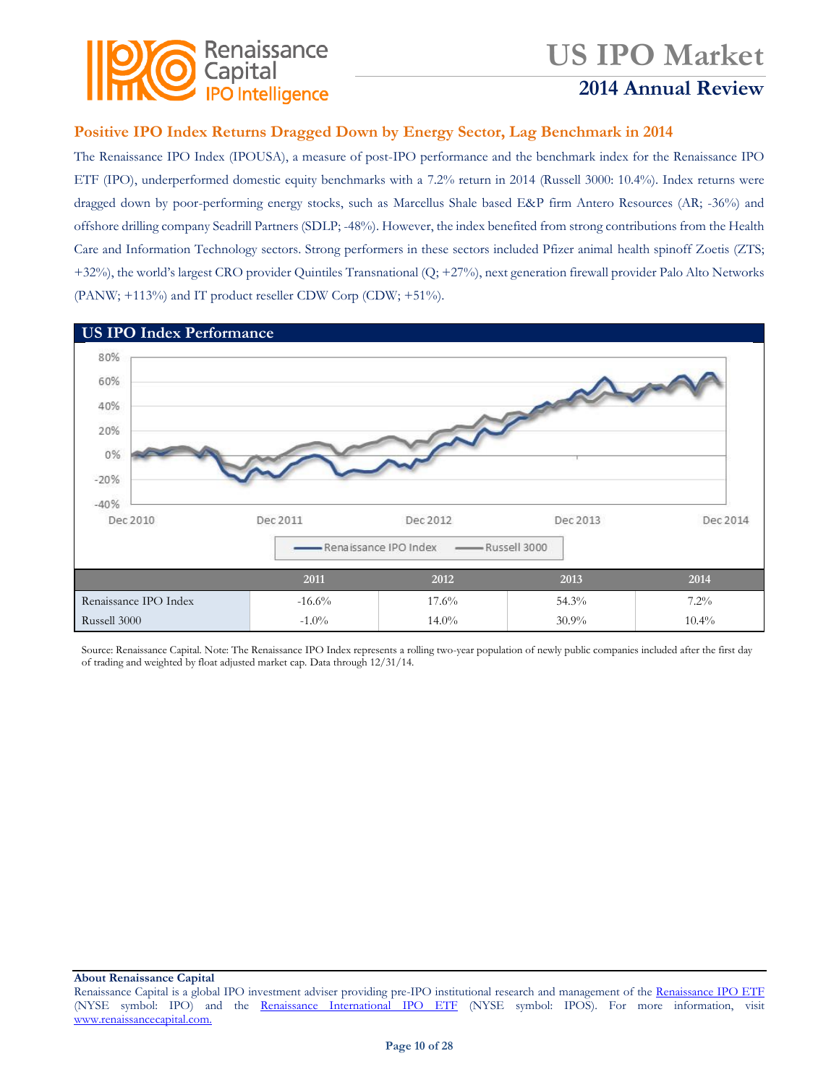

## **2014 Annual Review**

### **Positive IPO Index Returns Dragged Down by Energy Sector, Lag Benchmark in 2014**

The Renaissance IPO Index (IPOUSA), a measure of post-IPO performance and the benchmark index for the Renaissance IPO ETF (IPO), underperformed domestic equity benchmarks with a 7.2% return in 2014 (Russell 3000: 10.4%). Index returns were dragged down by poor-performing energy stocks, such as Marcellus Shale based E&P firm Antero Resources (AR; -36%) and offshore drilling company Seadrill Partners (SDLP; -48%). However, the index benefited from strong contributions from the Health Care and Information Technology sectors. Strong performers in these sectors included Pfizer animal health spinoff Zoetis (ZTS; +32%), the world's largest CRO provider Quintiles Transnational (Q; +27%), next generation firewall provider Palo Alto Networks (PANW; +113%) and IT product reseller CDW Corp (CDW; +51%).



Source: Renaissance Capital. Note: The Renaissance IPO Index represents a rolling two-year population of newly public companies included after the first day of trading and weighted by float adjusted market cap. Data through 12/31/14.

Renaissance Capital is a global IPO investment adviser providing pre-IPO institutional research and management of the [Renaissance IPO ETF](http://www.renaissancecapital.com/IPOInvesting/IPOETF/IPOETF.aspx) (NYSE symbol: IPO) and the [Renaissance International IPO ETF](http://www.renaissancecapital.com/ipoinvesting/iposetf/iposetf.aspx) (NYSE symbol: IPOS). For more information, visit [www.renaissancecapital.com.](http://www.renaissancecapital.com/)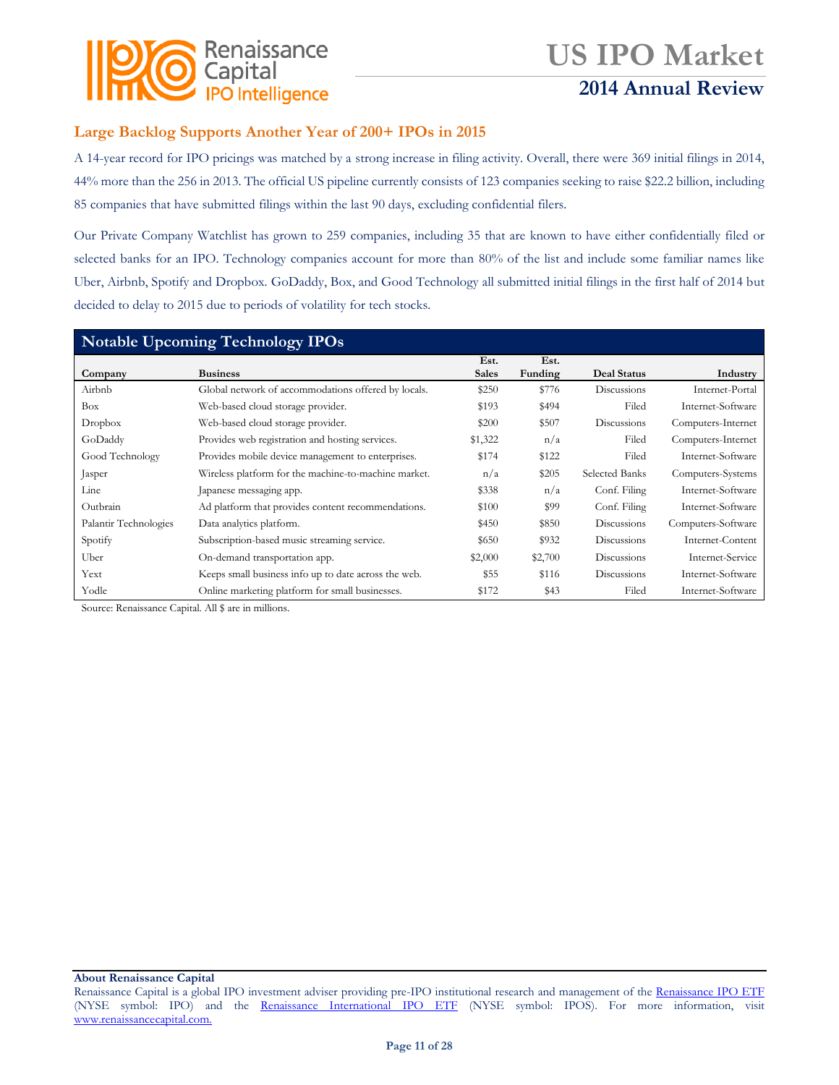

## **2014 Annual Review**

### **Large Backlog Supports Another Year of 200+ IPOs in 2015**

A 14-year record for IPO pricings was matched by a strong increase in filing activity. Overall, there were 369 initial filings in 2014, 44% more than the 256 in 2013. The official US pipeline currently consists of 123 companies seeking to raise \$22.2 billion, including 85 companies that have submitted filings within the last 90 days, excluding confidential filers.

Our Private Company Watchlist has grown to 259 companies, including 35 that are known to have either confidentially filed or selected banks for an IPO. Technology companies account for more than 80% of the list and include some familiar names like Uber, Airbnb, Spotify and Dropbox. GoDaddy, Box, and Good Technology all submitted initial filings in the first half of 2014 but decided to delay to 2015 due to periods of volatility for tech stocks.

| <b>Notable Upcoming Technology IPOs</b> |                                                      |                      |                 |                    |                    |  |  |
|-----------------------------------------|------------------------------------------------------|----------------------|-----------------|--------------------|--------------------|--|--|
| Company                                 | <b>Business</b>                                      | Est.<br><b>Sales</b> | Est.<br>Funding | <b>Deal Status</b> | Industry           |  |  |
| Airbnb                                  | Global network of accommodations offered by locals.  | \$250                | \$776           | Discussions        | Internet-Portal    |  |  |
| <b>Box</b>                              | Web-based cloud storage provider.                    | \$193                | \$494           | Filed              | Internet-Software  |  |  |
| Dropbox                                 | Web-based cloud storage provider.                    | \$200                | \$507           | Discussions        | Computers-Internet |  |  |
| GoDaddy                                 | Provides web registration and hosting services.      | \$1,322              | n/a             | Filed              | Computers-Internet |  |  |
| Good Technology                         | Provides mobile device management to enterprises.    | \$174                | \$122           | Filed              | Internet-Software  |  |  |
| Jasper                                  | Wireless platform for the machine-to-machine market. | n/a                  | \$205           | Selected Banks     | Computers-Systems  |  |  |
| Line                                    | Japanese messaging app.                              | \$338                | n/a             | Conf. Filing       | Internet-Software  |  |  |
| Outbrain                                | Ad platform that provides content recommendations.   | \$100                | \$99            | Conf. Filing       | Internet-Software  |  |  |
| Palantir Technologies                   | Data analytics platform.                             | \$450                | \$850           | Discussions        | Computers-Software |  |  |
| Spotify                                 | Subscription-based music streaming service.          | \$650                | \$932           | Discussions        | Internet-Content   |  |  |
| Uber                                    | On-demand transportation app.                        | \$2,000              | \$2,700         | Discussions        | Internet-Service   |  |  |
| Yext                                    | Keeps small business info up to date across the web. | \$55                 | \$116           | Discussions        | Internet-Software  |  |  |
| Yodle                                   | Online marketing platform for small businesses.      | \$172                | \$43            | Filed              | Internet-Software  |  |  |

Source: Renaissance Capital. All \$ are in millions.

Renaissance Capital is a global IPO investment adviser providing pre-IPO institutional research and management of the [Renaissance IPO ETF](http://www.renaissancecapital.com/IPOInvesting/IPOETF/IPOETF.aspx) (NYSE symbol: IPO) and the [Renaissance International IPO ETF](http://www.renaissancecapital.com/ipoinvesting/iposetf/iposetf.aspx) (NYSE symbol: IPOS). For more information, visit [www.renaissancecapital.com.](http://www.renaissancecapital.com/)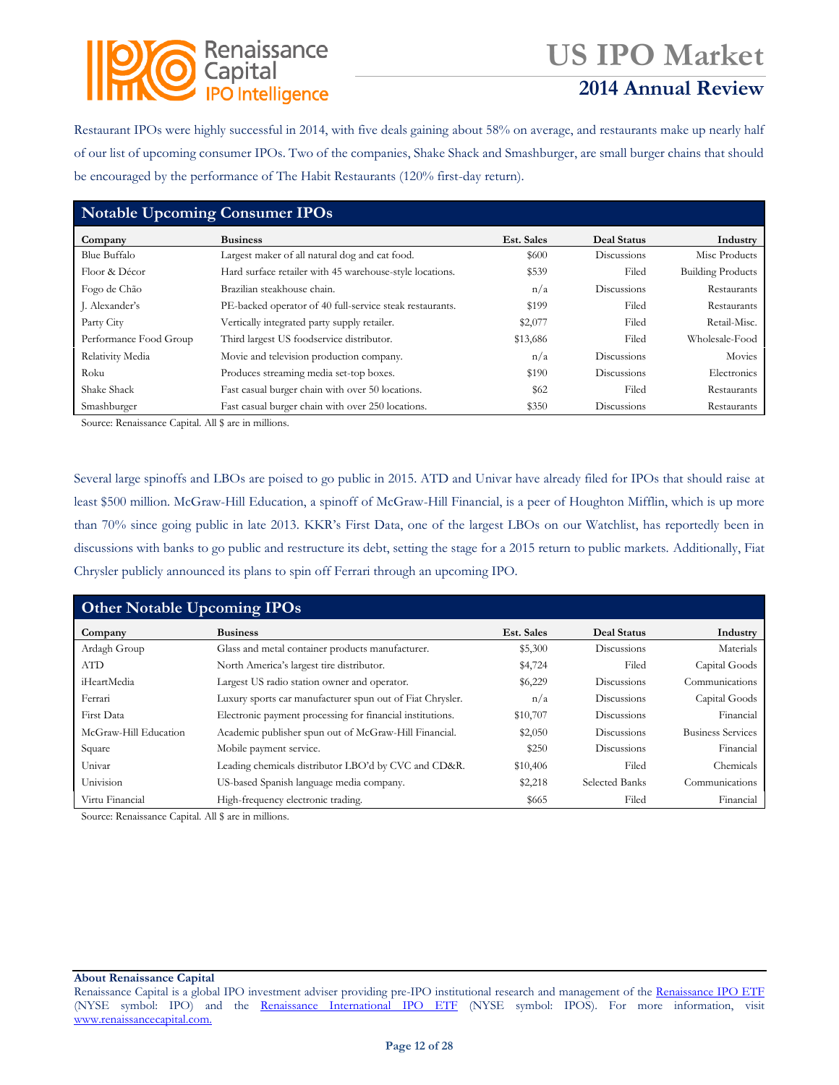### Renaissance Capital **IPO Intelligence**

# **US IPO Market**

## **2014 Annual Review**

Restaurant IPOs were highly successful in 2014, with five deals gaining about 58% on average, and restaurants make up nearly half of our list of upcoming consumer IPOs. Two of the companies, Shake Shack and Smashburger, are small burger chains that should be encouraged by the performance of The Habit Restaurants (120% first-day return).

| <b>Notable Upcoming Consumer IPOs</b> |                                                          |            |                    |                          |  |  |
|---------------------------------------|----------------------------------------------------------|------------|--------------------|--------------------------|--|--|
| Company                               | <b>Business</b>                                          | Est. Sales | <b>Deal Status</b> | Industry                 |  |  |
| <b>Blue Buffalo</b>                   | Largest maker of all natural dog and cat food.           | \$600      | Discussions        | Misc Products            |  |  |
| Floor & Décor                         | Hard surface retailer with 45 warehouse-style locations. | \$539      | Filed              | <b>Building Products</b> |  |  |
| Fogo de Chão                          | Brazilian steakhouse chain.                              | n/a        | Discussions        | Restaurants              |  |  |
| J. Alexander's                        | PE-backed operator of 40 full-service steak restaurants. | \$199      | Filed              | Restaurants              |  |  |
| Party City                            | Vertically integrated party supply retailer.             | \$2,077    | Filed              | Retail-Misc.             |  |  |
| Performance Food Group                | Third largest US foodservice distributor.                | \$13,686   | Filed              | Wholesale-Food           |  |  |
| Relativity Media                      | Movie and television production company.                 | n/a        | Discussions        | Movies                   |  |  |
| Roku                                  | Produces streaming media set-top boxes.                  | \$190      | Discussions        | Electronics              |  |  |
| Shake Shack                           | Fast casual burger chain with over 50 locations.         | <b>S62</b> | Filed              | Restaurants              |  |  |
| Smashburger                           | Fast casual burger chain with over 250 locations.        | \$350      | Discussions        | Restaurants              |  |  |

Source: Renaissance Capital. All \$ are in millions.

Several large spinoffs and LBOs are poised to go public in 2015. ATD and Univar have already filed for IPOs that should raise at least \$500 million. McGraw-Hill Education, a spinoff of McGraw-Hill Financial, is a peer of Houghton Mifflin, which is up more than 70% since going public in late 2013. KKR's First Data, one of the largest LBOs on our Watchlist, has reportedly been in discussions with banks to go public and restructure its debt, setting the stage for a 2015 return to public markets. Additionally, Fiat Chrysler publicly announced its plans to spin off Ferrari through an upcoming IPO.

| <b>Other Notable Upcoming IPOs</b> |                                                           |            |                       |                          |  |  |  |
|------------------------------------|-----------------------------------------------------------|------------|-----------------------|--------------------------|--|--|--|
| Company                            | <b>Business</b>                                           | Est. Sales | Deal Status           | Industry                 |  |  |  |
| Ardagh Group                       | Glass and metal container products manufacturer.          | \$5,300    | Discussions           | Materials                |  |  |  |
| <b>ATD</b>                         | North America's largest tire distributor.                 | \$4,724    | Filed                 | Capital Goods            |  |  |  |
| iHeartMedia                        | Largest US radio station owner and operator.              | \$6,229    | Discussions           | Communications           |  |  |  |
| Ferrari                            | Luxury sports car manufacturer spun out of Fiat Chrysler. | n/a        | Discussions           | Capital Goods            |  |  |  |
| First Data                         | Electronic payment processing for financial institutions. | \$10,707   | Discussions           | Financial                |  |  |  |
| McGraw-Hill Education              | Academic publisher spun out of McGraw-Hill Financial.     | \$2,050    | Discussions           | <b>Business Services</b> |  |  |  |
| Square                             | Mobile payment service.                                   | \$250      | Discussions           | Financial                |  |  |  |
| Univar                             | Leading chemicals distributor LBO'd by CVC and CD&R.      | \$10,406   | Filed                 | Chemicals                |  |  |  |
| Univision                          | US-based Spanish language media company.                  | \$2,218    | <b>Selected Banks</b> | Communications           |  |  |  |
| Virtu Financial                    | High-frequency electronic trading.                        | \$665      | Filed                 | Financial                |  |  |  |

Source: Renaissance Capital. All \$ are in millions.

Renaissance Capital is a global IPO investment adviser providing pre-IPO institutional research and management of the [Renaissance IPO ETF](http://www.renaissancecapital.com/IPOInvesting/IPOETF/IPOETF.aspx) (NYSE symbol: IPO) and the [Renaissance International IPO ETF](http://www.renaissancecapital.com/ipoinvesting/iposetf/iposetf.aspx) (NYSE symbol: IPOS). For more information, visit [www.renaissancecapital.com.](http://www.renaissancecapital.com/)